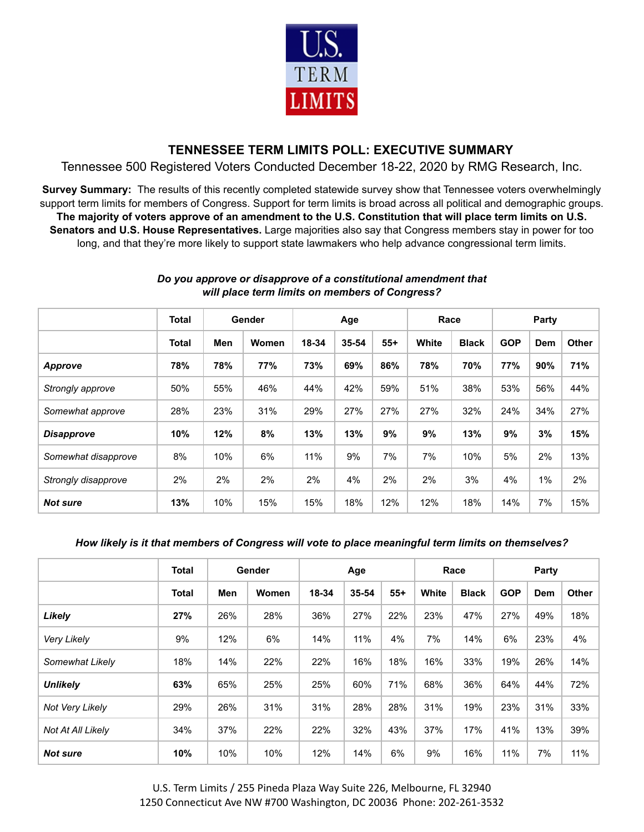

## **TENNESSEE TERM LIMITS POLL: EXECUTIVE SUMMARY**

Tennessee 500 Registered Voters Conducted December 18-22, 2020 by RMG Research, Inc.

**Survey Summary:** The results of this recently completed statewide survey show that Tennessee voters overwhelmingly support term limits for members of Congress. Support for term limits is broad across all political and demographic groups. The majority of voters approve of an amendment to the U.S. Constitution that will place term limits on U.S. **Senators and U.S. House Representatives.** Large majorities also say that Congress members stay in power for too long, and that they're more likely to support state lawmakers who help advance congressional term limits.

|                     | <b>Total</b> | Gender |       |     | Age                     |     | Race  |              | Party      |     |              |
|---------------------|--------------|--------|-------|-----|-------------------------|-----|-------|--------------|------------|-----|--------------|
|                     | <b>Total</b> | Men    | Women |     | $55+$<br>18-34<br>35-54 |     | White | <b>Black</b> | <b>GOP</b> | Dem | <b>Other</b> |
| Approve             | 78%          | 78%    | 77%   | 73% | 69%                     | 86% | 78%   | 70%          | 77%        | 90% | 71%          |
| Strongly approve    | 50%          | 55%    | 46%   | 44% | 42%                     | 59% | 51%   | 38%          | 53%        | 56% | 44%          |
| Somewhat approve    | 28%          | 23%    | 31%   | 29% | 27%                     | 27% | 27%   | 32%          | 24%        | 34% | 27%          |
| <b>Disapprove</b>   | 10%          | 12%    | 8%    | 13% | 13%                     | 9%  | 9%    | 13%          | 9%         | 3%  | 15%          |
| Somewhat disapprove | 8%           | 10%    | 6%    | 11% | 9%                      | 7%  | 7%    | 10%          | 5%         | 2%  | 13%          |
| Strongly disapprove | 2%           | 2%     | 2%    | 2%  | 4%                      | 2%  | 2%    | 3%           | 4%         | 1%  | 2%           |
| <b>Not sure</b>     | 13%          | 10%    | 15%   | 15% | 18%                     | 12% | 12%   | 18%          | 14%        | 7%  | 15%          |

## *Do you approve or disapprove of a constitutional amendment that will place term limits on members of Congress?*

## *How likely is it that members of Congress will vote to place meaningful term limits on themselves?*

|                          | <b>Total</b> | Gender |       | Age   |       |       |       | Race         | Party      |     |              |
|--------------------------|--------------|--------|-------|-------|-------|-------|-------|--------------|------------|-----|--------------|
|                          | <b>Total</b> | Men    | Women | 18-34 | 35-54 | $55+$ | White | <b>Black</b> | <b>GOP</b> | Dem | <b>Other</b> |
| Likely                   | 27%          | 26%    | 28%   | 36%   | 27%   | 22%   | 23%   | 47%          | 27%        | 49% | 18%          |
| <b>Very Likely</b>       | 9%           | 12%    | 6%    | 14%   | 11%   | 4%    | 7%    | 14%          | 6%         | 23% | 4%           |
| Somewhat Likely          | 18%          | 14%    | 22%   | 22%   | 16%   | 18%   | 16%   | 33%          | 19%        | 26% | 14%          |
| <b>Unlikely</b>          | 63%          | 65%    | 25%   | 25%   | 60%   | 71%   | 68%   | 36%          | 64%        | 44% | 72%          |
| Not Very Likely          | 29%          | 26%    | 31%   | 31%   | 28%   | 28%   | 31%   | 19%          | 23%        | 31% | 33%          |
| <b>Not At All Likely</b> | 34%          | 37%    | 22%   | 22%   | 32%   | 43%   | 37%   | 17%          | 41%        | 13% | 39%          |
| <b>Not sure</b>          | 10%          | 10%    | 10%   | 12%   | 14%   | 6%    | 9%    | 16%          | 11%        | 7%  | 11%          |

U.S. Term Limits / 255 Pineda Plaza Way Suite 226, Melbourne, FL 32940 1250 Connecticut Ave NW #700 Washington, DC 20036 Phone: 202-261-3532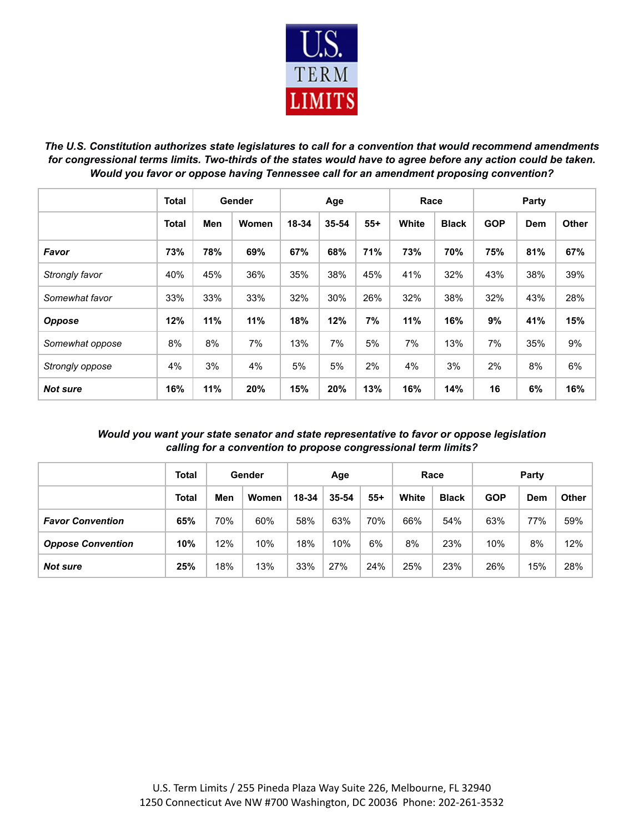

*The U.S. Constitution authorizes state legislatures to call for a convention that would recommend amendments* for congressional terms limits. Two-thirds of the states would have to agree before any action could be taken. *Would you favor or oppose having Tennessee call for an amendment proposing convention?*

|                 | <b>Total</b> | Gender |       |       | Age   |       | Race  |              | Party      |     |              |  |
|-----------------|--------------|--------|-------|-------|-------|-------|-------|--------------|------------|-----|--------------|--|
|                 | <b>Total</b> | Men    | Women | 18-34 | 35-54 | $55+$ | White | <b>Black</b> | <b>GOP</b> | Dem | <b>Other</b> |  |
| Favor           | 73%          | 78%    | 69%   | 67%   | 68%   | 71%   | 73%   | 70%          | 75%        | 81% | 67%          |  |
| Strongly favor  | 40%          | 45%    | 36%   | 35%   | 38%   | 45%   | 41%   | 32%          | 43%        | 38% | 39%          |  |
| Somewhat favor  | 33%          | 33%    | 33%   | 32%   | 30%   | 26%   | 32%   | 38%          | 32%        | 43% | 28%          |  |
| <b>Oppose</b>   | 12%          | 11%    | 11%   | 18%   | 12%   | 7%    | 11%   | 16%          | 9%         | 41% | 15%          |  |
| Somewhat oppose | 8%           | 8%     | 7%    | 13%   | 7%    | 5%    | 7%    | 13%          | 7%         | 35% | 9%           |  |
| Strongly oppose | 4%           | 3%     | 4%    | 5%    | 5%    | 2%    | 4%    | 3%           | 2%         | 8%  | 6%           |  |
| <b>Not sure</b> | 16%          | 11%    | 20%   | 15%   | 20%   | 13%   | 16%   | 14%          | 16         | 6%  | 16%          |  |

*Would you want your state senator and state representative to favor or oppose legislation calling for a convention to propose congressional term limits?*

|                          | Total | Gender |       | Age   |       |       |       | Race         | Party      |     |       |  |
|--------------------------|-------|--------|-------|-------|-------|-------|-------|--------------|------------|-----|-------|--|
|                          | Total | Men    | Women | 18-34 | 35-54 | $55+$ | White | <b>Black</b> | <b>GOP</b> | Dem | Other |  |
| <b>Favor Convention</b>  | 65%   | 70%    | 60%   | 58%   | 63%   | 70%   | 66%   | 54%          | 63%        | 77% | 59%   |  |
| <b>Oppose Convention</b> | 10%   | 12%    | 10%   | 18%   | 10%   | 6%    | 8%    | 23%          | 10%        | 8%  | 12%   |  |
| <b>Not sure</b>          | 25%   | 18%    | 13%   | 33%   | 27%   | 24%   | 25%   | 23%          | 26%        | 15% | 28%   |  |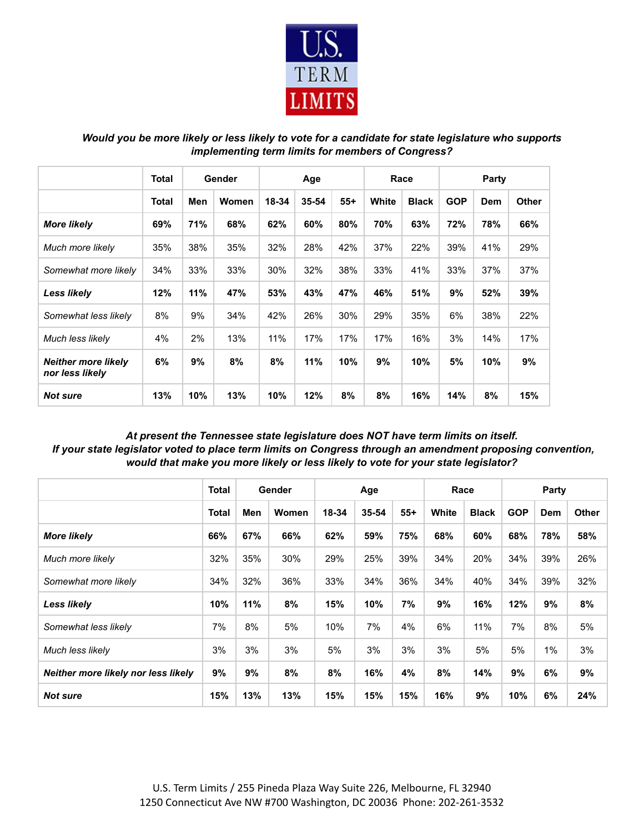

*Would you be more likely or less likely to vote for a candidate for state legislature who supports implementing term limits for members of Congress?*

|                                               | <b>Total</b> | Gender |       |       | Age   |       |       | Race         | Party      |     |       |  |
|-----------------------------------------------|--------------|--------|-------|-------|-------|-------|-------|--------------|------------|-----|-------|--|
|                                               | <b>Total</b> | Men    | Women | 18-34 | 35-54 | $55+$ | White | <b>Black</b> | <b>GOP</b> | Dem | Other |  |
| <b>More likely</b>                            | 69%          | 71%    | 68%   | 62%   | 60%   | 80%   | 70%   | 63%          | 72%        | 78% | 66%   |  |
| Much more likely                              | 35%          | 38%    | 35%   | 32%   | 28%   | 42%   | 37%   | 22%          | 39%        | 41% | 29%   |  |
| Somewhat more likely                          | 34%          | 33%    | 33%   | 30%   | 32%   | 38%   | 33%   | 41%          | 33%        | 37% | 37%   |  |
| <b>Less likely</b>                            | 12%          | 11%    | 47%   | 53%   | 43%   | 47%   | 46%   | 51%          | 9%         | 52% | 39%   |  |
| Somewhat less likely                          | 8%           | 9%     | 34%   | 42%   | 26%   | 30%   | 29%   | 35%          | 6%         | 38% | 22%   |  |
| Much less likely                              | 4%           | 2%     | 13%   | 11%   | 17%   | 17%   | 17%   | 16%          | 3%         | 14% | 17%   |  |
| <b>Neither more likely</b><br>nor less likely | 6%           | 9%     | 8%    | 8%    | 11%   | 10%   | 9%    | 10%          | 5%         | 10% | 9%    |  |
| <b>Not sure</b>                               | 13%          | 10%    | 13%   | 10%   | 12%   | 8%    | 8%    | 16%          | 14%        | 8%  | 15%   |  |

## *At present the Tennessee state legislature does NOT have term limits on itself. If your state legislator voted to place term limits on Congress through an amendment proposing convention, would that make you more likely or less likely to vote for your state legislator?*

|                                     | <b>Total</b><br>Gender |     |       | Age   |       |       |       | Race         | Party      |       |              |
|-------------------------------------|------------------------|-----|-------|-------|-------|-------|-------|--------------|------------|-------|--------------|
|                                     | Total                  | Men | Women | 18-34 | 35-54 | $55+$ | White | <b>Black</b> | <b>GOP</b> | Dem   | <b>Other</b> |
| <b>More likely</b>                  | 66%                    | 67% | 66%   | 62%   | 59%   | 75%   | 68%   | 60%          | 68%        | 78%   | 58%          |
| Much more likely                    | 32%                    | 35% | 30%   | 29%   | 25%   | 39%   | 34%   | 20%          | 34%        | 39%   | 26%          |
| Somewhat more likely                | 34%                    | 32% | 36%   | 33%   | 34%   | 36%   | 34%   | 40%          | 34%        | 39%   | 32%          |
| <b>Less likely</b>                  | 10%                    | 11% | 8%    | 15%   | 10%   | 7%    | 9%    | 16%          | 12%        | 9%    | 8%           |
| Somewhat less likely                | 7%                     | 8%  | 5%    | 10%   | 7%    | 4%    | 6%    | 11%          | 7%         | 8%    | 5%           |
| Much less likely                    | 3%                     | 3%  | 3%    | 5%    | 3%    | 3%    | 3%    | 5%           | 5%         | $1\%$ | 3%           |
| Neither more likely nor less likely | 9%                     | 9%  | 8%    | 8%    | 16%   | 4%    | 8%    | 14%          | 9%         | 6%    | 9%           |
| <b>Not sure</b>                     | 15%                    | 13% | 13%   | 15%   | 15%   | 15%   | 16%   | 9%           | 10%        | 6%    | 24%          |